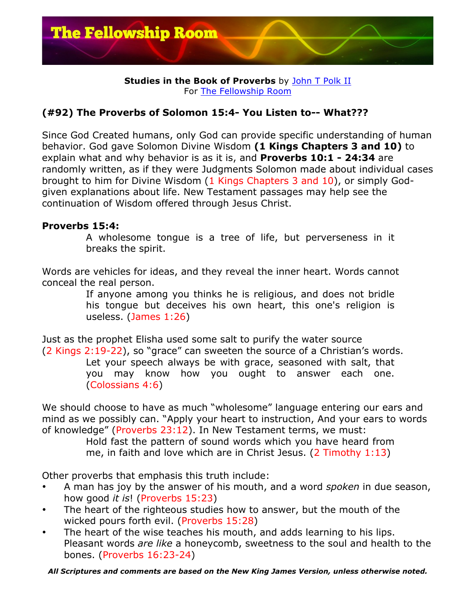

## **Studies in the Book of Proverbs** by John T Polk II For The Fellowship Room

## **(#92) The Proverbs of Solomon 15:4- You Listen to-- What???**

Since God Created humans, only God can provide specific understanding of human behavior. God gave Solomon Divine Wisdom **(1 Kings Chapters 3 and 10)** to explain what and why behavior is as it is, and **Proverbs 10:1 - 24:34** are randomly written, as if they were Judgments Solomon made about individual cases brought to him for Divine Wisdom (1 Kings Chapters 3 and 10), or simply Godgiven explanations about life. New Testament passages may help see the continuation of Wisdom offered through Jesus Christ.

## **Proverbs 15:4:**

A wholesome tongue is a tree of life, but perverseness in it breaks the spirit.

Words are vehicles for ideas, and they reveal the inner heart. Words cannot conceal the real person.

If anyone among you thinks he is religious, and does not bridle his tongue but deceives his own heart, this one's religion is useless. (James 1:26)

Just as the prophet Elisha used some salt to purify the water source (2 Kings 2:19-22), so "grace" can sweeten the source of a Christian's words. Let your speech always be with grace, seasoned with salt, that you may know how you ought to answer each one. (Colossians 4:6)

We should choose to have as much "wholesome" language entering our ears and mind as we possibly can. "Apply your heart to instruction, And your ears to words of knowledge" (Proverbs 23:12). In New Testament terms, we must:

Hold fast the pattern of sound words which you have heard from me, in faith and love which are in Christ Jesus. (2 Timothy 1:13)

Other proverbs that emphasis this truth include:

- A man has joy by the answer of his mouth, and a word *spoken* in due season, how good *it is*! (Proverbs 15:23)
- The heart of the righteous studies how to answer, but the mouth of the wicked pours forth evil. (Proverbs 15:28)
- The heart of the wise teaches his mouth, and adds learning to his lips. Pleasant words *are like* a honeycomb, sweetness to the soul and health to the bones. (Proverbs 16:23-24)

*All Scriptures and comments are based on the New King James Version, unless otherwise noted.*